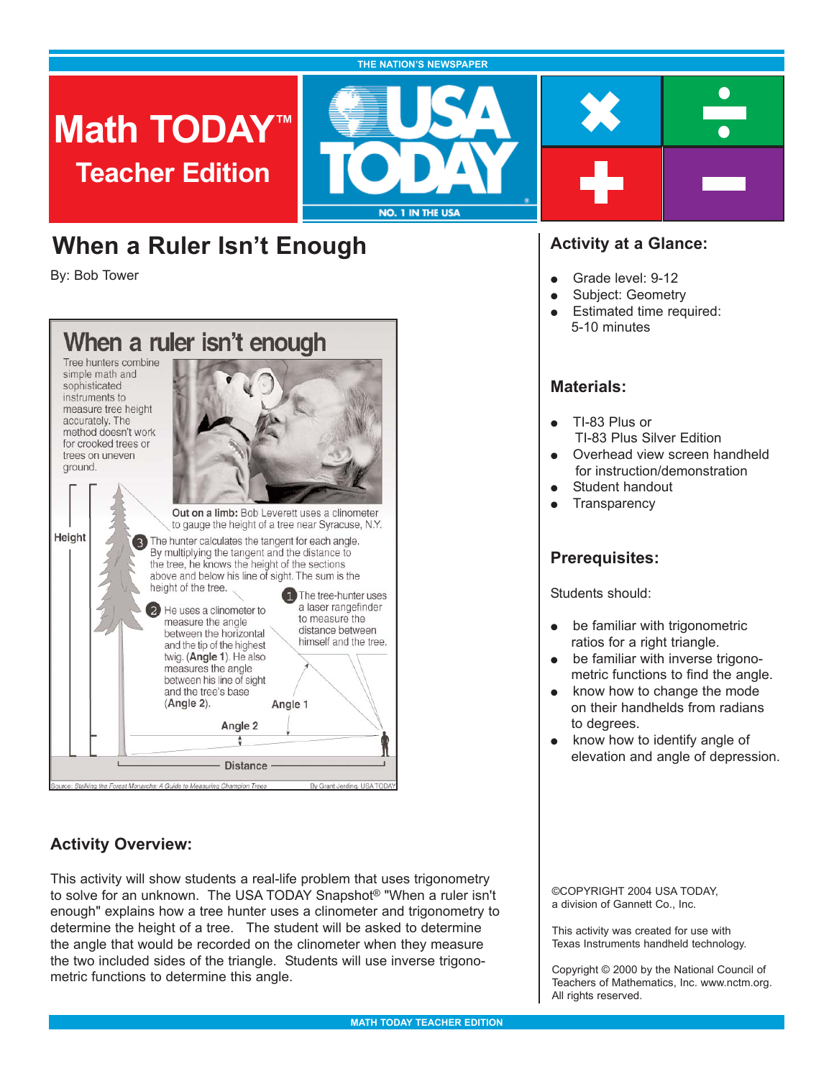#### **THE NATION'S NEWSPAPER**

**Math TODAY™ Teacher Edition**



# **When a Ruler Isn't Enough**

By: Bob Tower



# **Activity Overview:**

This activity will show students a real-life problem that uses trigonometry to solve for an unknown. The USA TODAY Snapshot® "When a ruler isn't enough" explains how a tree hunter uses a clinometer and trigonometry to determine the height of a tree. The student will be asked to determine the angle that would be recorded on the clinometer when they measure the two included sides of the triangle. Students will use inverse trigonometric functions to determine this angle.

# **Activity at a Glance:**

- Grade level: 9-12
- Subject: Geometry
- **Estimated time required:** 5-10 minutes

# **Materials:**

- TI-83 Plus or TI-83 Plus Silver Edition
- Overhead view screen handheld for instruction/demonstration
- Student handout
- $\bullet$  Transparency

# **Prerequisites:**

Students should:

- $\bullet$  be familiar with trigonometric ratios for a right triangle.
- $\bullet$  be familiar with inverse trigonometric functions to find the angle.
- $\bullet$  know how to change the mode on their handhelds from radians to degrees.
- $\bullet$  know how to identify angle of elevation and angle of depression.

©COPYRIGHT 2004 USA TODAY, a division of Gannett Co., Inc.

This activity was created for use with Texas Instruments handheld technology.

Copyright © 2000 by the National Council of Teachers of Mathematics, Inc. www.nctm.org. All rights reserved.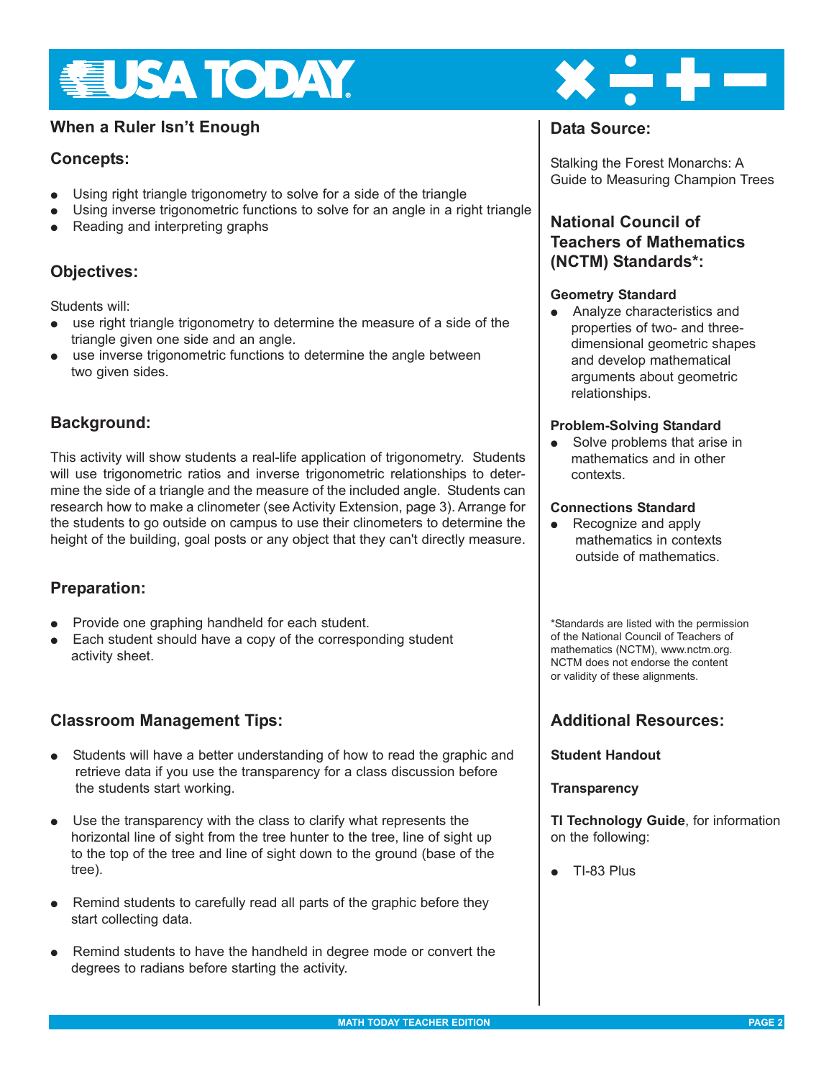

# **When a Ruler Isn't Enough <b>Data** Source:

# **Concepts:**

- Using right triangle trigonometry to solve for a side of the triangle
- $\bullet$  Using inverse trigonometric functions to solve for an angle in a right triangle
- Reading and interpreting graphs

# **Objectives:**

Students will:

- use right triangle trigonometry to determine the measure of a side of the triangle given one side and an angle.
- use inverse trigonometric functions to determine the angle between two given sides.

# **Background:**

This activity will show students a real-life application of trigonometry. Students will use trigonometric ratios and inverse trigonometric relationships to determine the side of a triangle and the measure of the included angle. Students can research how to make a clinometer (see Activity Extension, page 3). Arrange for the students to go outside on campus to use their clinometers to determine the height of the building, goal posts or any object that they can't directly measure.

# **Preparation:**

- Provide one graphing handheld for each student.
- Each student should have a copy of the corresponding student activity sheet.

# **Classroom Management Tips:**

- Students will have a better understanding of how to read the graphic and retrieve data if you use the transparency for a class discussion before the students start working.
- Use the transparency with the class to clarify what represents the horizontal line of sight from the tree hunter to the tree, line of sight up to the top of the tree and line of sight down to the ground (base of the tree).
- $\bullet$  Remind students to carefully read all parts of the graphic before they start collecting data.
- Remind students to have the handheld in degree mode or convert the degrees to radians before starting the activity.



Stalking the Forest Monarchs: A Guide to Measuring Champion Trees

# **National Council of Teachers of Mathematics (NCTM) Standards\*:**

### **Geometry Standard**

• Analyze characteristics and properties of two- and threedimensional geometric shapes and develop mathematical arguments about geometric relationships.

#### **Problem-Solving Standard**

 $\bullet$  Solve problems that arise in mathematics and in other contexts.

#### **Connections Standard**

 $\bullet$  Recognize and apply mathematics in contexts outside of mathematics.

\*Standards are listed with the permission of the National Council of Teachers of mathematics (NCTM), www.nctm.org. NCTM does not endorse the content or validity of these alignments.

# **Additional Resources:**

#### **Student Handout**

#### **Transparency**

**TI Technology Guide**, for information on the following:

 $\bullet$  TI-83 Plus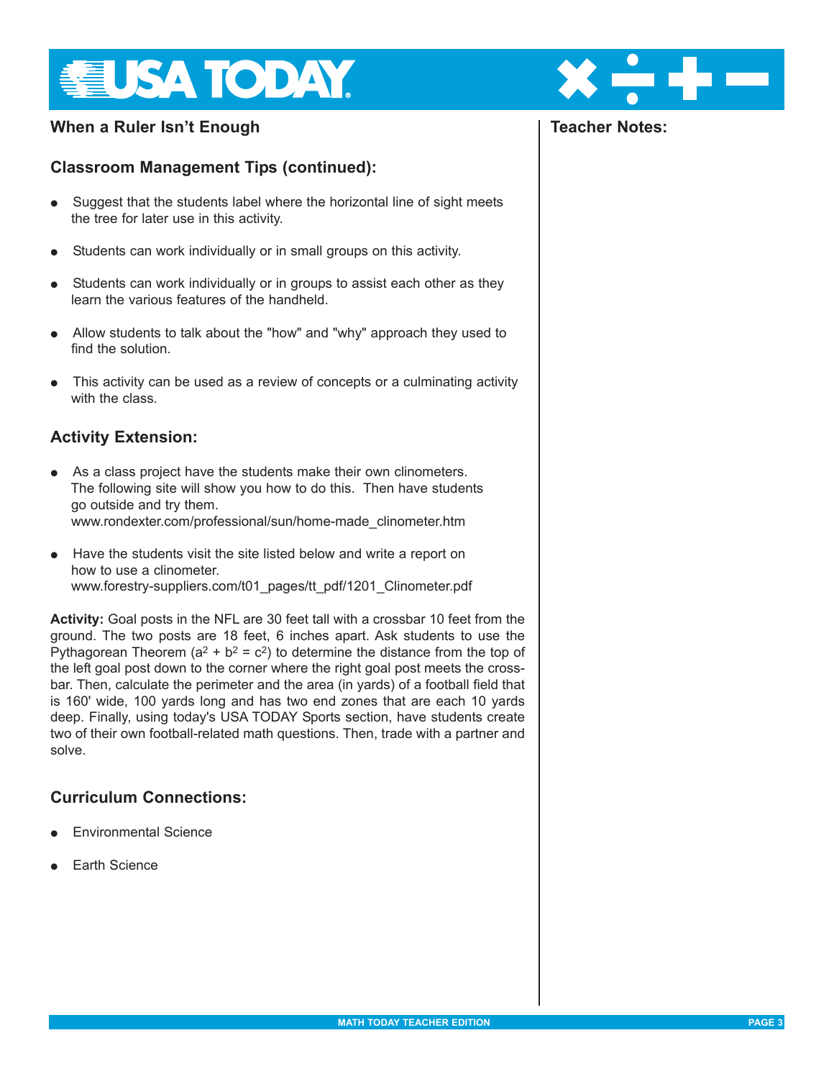

# **When a Ruler Isn't Enough**

# **Classroom Management Tips (continued):**

- Suggest that the students label where the horizontal line of sight meets the tree for later use in this activity.
- Students can work individually or in small groups on this activity.
- Students can work individually or in groups to assist each other as they learn the various features of the handheld.
- Allow students to talk about the "how" and "why" approach they used to find the solution
- This activity can be used as a review of concepts or a culminating activity with the class.

# **Activity Extension:**

- As a class project have the students make their own clinometers. The following site will show you how to do this. Then have students go outside and try them. [www.rondexter.com/professional/sun/home-made\\_clinometer.htm](www.rondexter.com/professional/sun/home-made_clinometer.htm)
- Have the students visit the site listed below and write a report on how to use a clinometer.

[www.forestry-suppliers.com/t01\\_pages/tt\\_pdf/1201\\_Clinometer.pdf](www.forestry-suppliers.com/t01_pages/tt_pdf/1201_Clinometer.pdf)

**Activity:** Goal posts in the NFL are 30 feet tall with a crossbar 10 feet from the ground. The two posts are 18 feet, 6 inches apart. Ask students to use the Pythagorean Theorem ( $a^2 + b^2 = c^2$ ) to determine the distance from the top of the left goal post down to the corner where the right goal post meets the crossbar. Then, calculate the perimeter and the area (in yards) of a football field that is 160' wide, 100 yards long and has two end zones that are each 10 yards deep. Finally, using today's USA TODAY Sports section, have students create two of their own football-related math questions. Then, trade with a partner and solve.

# **Curriculum Connections:**

- **Environmental Science**
- **Earth Science**



# **Teacher Notes:**